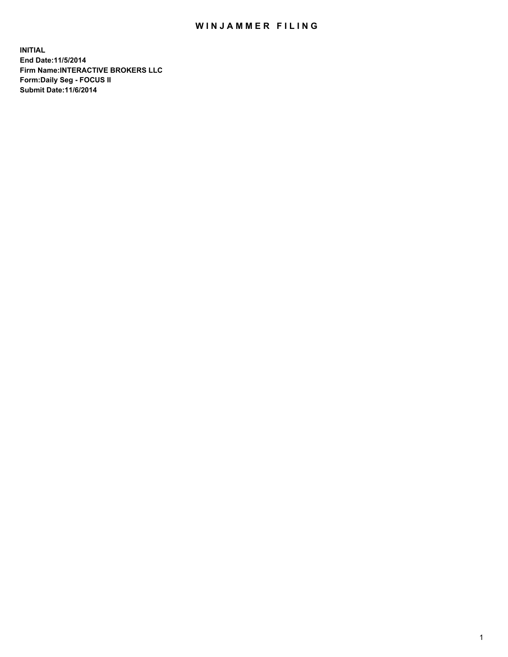## WIN JAMMER FILING

**INITIAL End Date:11/5/2014 Firm Name:INTERACTIVE BROKERS LLC Form:Daily Seg - FOCUS II Submit Date:11/6/2014**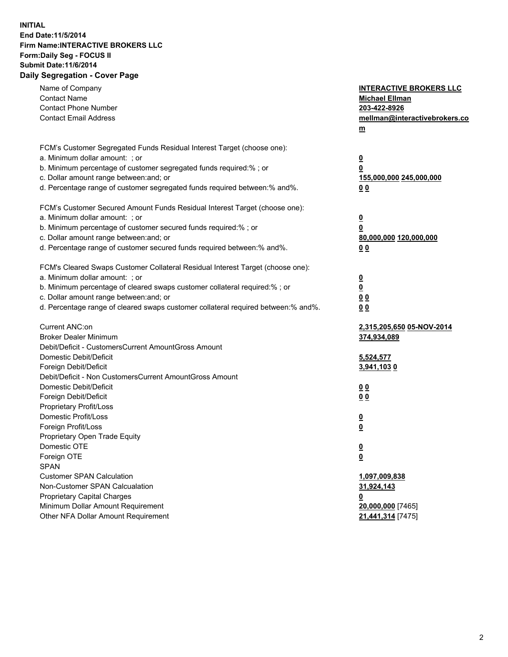## **INITIAL End Date:11/5/2014 Firm Name:INTERACTIVE BROKERS LLC Form:Daily Seg - FOCUS II Submit Date:11/6/2014 Daily Segregation - Cover Page**

| Name of Company<br><b>Contact Name</b><br><b>Contact Phone Number</b><br><b>Contact Email Address</b> | <b>INTERACTIVE BROKERS LLC</b><br><b>Michael Ellman</b><br>203-422-8926<br>mellman@interactivebrokers.co<br>$m$ |
|-------------------------------------------------------------------------------------------------------|-----------------------------------------------------------------------------------------------------------------|
| FCM's Customer Segregated Funds Residual Interest Target (choose one):                                |                                                                                                                 |
| a. Minimum dollar amount: ; or<br>b. Minimum percentage of customer segregated funds required:% ; or  | $\overline{\mathbf{0}}$                                                                                         |
| c. Dollar amount range between: and; or                                                               | 0<br>155,000,000 245,000,000                                                                                    |
| d. Percentage range of customer segregated funds required between:% and%.                             | 0 <sub>0</sub>                                                                                                  |
| FCM's Customer Secured Amount Funds Residual Interest Target (choose one):                            |                                                                                                                 |
| a. Minimum dollar amount: ; or                                                                        | $\overline{\mathbf{0}}$                                                                                         |
| b. Minimum percentage of customer secured funds required:% ; or                                       | 0                                                                                                               |
| c. Dollar amount range between: and; or                                                               | 80,000,000 120,000,000                                                                                          |
| d. Percentage range of customer secured funds required between:% and%.                                | 0 <sub>0</sub>                                                                                                  |
| FCM's Cleared Swaps Customer Collateral Residual Interest Target (choose one):                        |                                                                                                                 |
| a. Minimum dollar amount: ; or                                                                        | $\overline{\mathbf{0}}$                                                                                         |
| b. Minimum percentage of cleared swaps customer collateral required:% ; or                            | $\overline{\mathbf{0}}$                                                                                         |
| c. Dollar amount range between: and; or                                                               | 0 <sub>0</sub>                                                                                                  |
| d. Percentage range of cleared swaps customer collateral required between:% and%.                     | 0 <sub>0</sub>                                                                                                  |
| Current ANC:on                                                                                        | 2,315,205,650 05-NOV-2014                                                                                       |
| <b>Broker Dealer Minimum</b>                                                                          | 374,934,089                                                                                                     |
| Debit/Deficit - CustomersCurrent AmountGross Amount                                                   |                                                                                                                 |
| Domestic Debit/Deficit                                                                                | 5,524,577                                                                                                       |
| Foreign Debit/Deficit                                                                                 | 3,941,1030                                                                                                      |
| Debit/Deficit - Non CustomersCurrent AmountGross Amount                                               |                                                                                                                 |
| Domestic Debit/Deficit                                                                                | 0 <sub>0</sub>                                                                                                  |
| Foreign Debit/Deficit                                                                                 | 0 <sub>0</sub>                                                                                                  |
| Proprietary Profit/Loss                                                                               |                                                                                                                 |
| Domestic Profit/Loss                                                                                  | $\overline{\mathbf{0}}$                                                                                         |
| Foreign Profit/Loss                                                                                   | $\underline{\mathbf{0}}$                                                                                        |
| Proprietary Open Trade Equity                                                                         |                                                                                                                 |
| Domestic OTE                                                                                          | <u>0</u>                                                                                                        |
| Foreign OTE                                                                                           | <u>0</u>                                                                                                        |
| <b>SPAN</b>                                                                                           |                                                                                                                 |
| <b>Customer SPAN Calculation</b>                                                                      | 1,097,009,838                                                                                                   |
| Non-Customer SPAN Calcualation                                                                        | 31,924,143                                                                                                      |
| Proprietary Capital Charges                                                                           | <u>0</u>                                                                                                        |
| Minimum Dollar Amount Requirement                                                                     | 20,000,000 [7465]                                                                                               |
| Other NFA Dollar Amount Requirement                                                                   | 21,441,314 [7475]                                                                                               |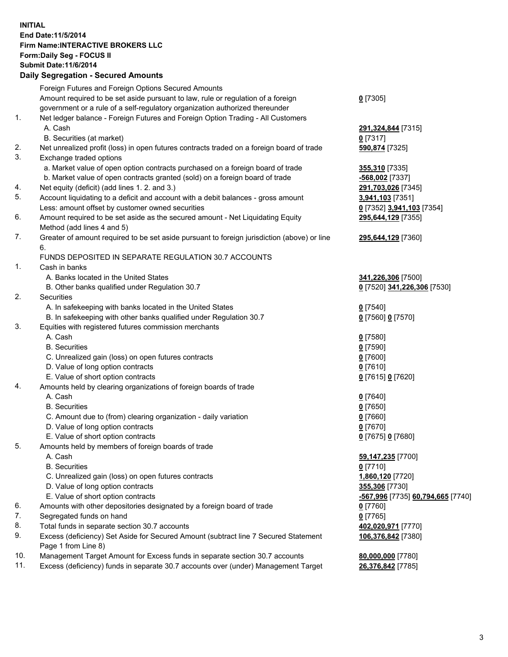## **INITIAL End Date:11/5/2014 Firm Name:INTERACTIVE BROKERS LLC Form:Daily Seg - FOCUS II Submit Date:11/6/2014 Daily Segregation - Secured Amounts**

|                | Daily Jegregation - Jeculed Aniounts                                                        |                                   |
|----------------|---------------------------------------------------------------------------------------------|-----------------------------------|
|                | Foreign Futures and Foreign Options Secured Amounts                                         |                                   |
|                | Amount required to be set aside pursuant to law, rule or regulation of a foreign            | $0$ [7305]                        |
|                | government or a rule of a self-regulatory organization authorized thereunder                |                                   |
| 1.             | Net ledger balance - Foreign Futures and Foreign Option Trading - All Customers             |                                   |
|                | A. Cash                                                                                     | 291,324,844 [7315]                |
|                | B. Securities (at market)                                                                   | 0 [7317]                          |
| 2.             | Net unrealized profit (loss) in open futures contracts traded on a foreign board of trade   | 590,874 [7325]                    |
| 3.             | Exchange traded options                                                                     |                                   |
|                | a. Market value of open option contracts purchased on a foreign board of trade              | 355,310 [7335]                    |
|                | b. Market value of open contracts granted (sold) on a foreign board of trade                | -568,002 [7337]                   |
| 4.             | Net equity (deficit) (add lines 1.2. and 3.)                                                | 291,703,026 [7345]                |
| 5.             | Account liquidating to a deficit and account with a debit balances - gross amount           | 3,941,103 [7351]                  |
|                | Less: amount offset by customer owned securities                                            | 0 [7352] 3,941,103 [7354]         |
| 6.             | Amount required to be set aside as the secured amount - Net Liquidating Equity              | 295,644,129 [7355]                |
|                | Method (add lines 4 and 5)                                                                  |                                   |
| 7.             | Greater of amount required to be set aside pursuant to foreign jurisdiction (above) or line | 295,644,129 [7360]                |
|                | 6.                                                                                          |                                   |
|                | FUNDS DEPOSITED IN SEPARATE REGULATION 30.7 ACCOUNTS                                        |                                   |
| $\mathbf{1}$ . | Cash in banks                                                                               |                                   |
|                | A. Banks located in the United States                                                       | 341,226,306 [7500]                |
|                | B. Other banks qualified under Regulation 30.7                                              | 0 [7520] 341,226,306 [7530]       |
| 2.             | Securities                                                                                  |                                   |
|                | A. In safekeeping with banks located in the United States                                   | $0$ [7540]                        |
|                | B. In safekeeping with other banks qualified under Regulation 30.7                          | 0 [7560] 0 [7570]                 |
| 3.             | Equities with registered futures commission merchants                                       |                                   |
|                | A. Cash                                                                                     | $0$ [7580]                        |
|                | <b>B.</b> Securities                                                                        | $0$ [7590]                        |
|                | C. Unrealized gain (loss) on open futures contracts                                         | $0$ [7600]                        |
|                | D. Value of long option contracts                                                           | $0$ [7610]                        |
|                | E. Value of short option contracts                                                          | 0 [7615] 0 [7620]                 |
| 4.             | Amounts held by clearing organizations of foreign boards of trade                           |                                   |
|                | A. Cash                                                                                     | $0$ [7640]                        |
|                | <b>B.</b> Securities                                                                        | $0$ [7650]                        |
|                | C. Amount due to (from) clearing organization - daily variation                             | $0$ [7660]                        |
|                | D. Value of long option contracts                                                           | $0$ [7670]                        |
|                | E. Value of short option contracts                                                          | 0 [7675] 0 [7680]                 |
| 5.             | Amounts held by members of foreign boards of trade                                          |                                   |
|                | A. Cash                                                                                     | 59,147,235 [7700]                 |
|                | <b>B.</b> Securities                                                                        | $0$ [7710]                        |
|                | C. Unrealized gain (loss) on open futures contracts                                         | 1,860,120 [7720]                  |
|                | D. Value of long option contracts                                                           | 355,306 [7730]                    |
|                | E. Value of short option contracts                                                          | -567,996 [7735] 60,794,665 [7740] |
| 6.             | Amounts with other depositories designated by a foreign board of trade                      | $0$ [7760]                        |
| 7.             | Segregated funds on hand                                                                    | $0$ [7765]                        |
| 8.             | Total funds in separate section 30.7 accounts                                               | 402,020,971 [7770]                |
| 9.             | Excess (deficiency) Set Aside for Secured Amount (subtract line 7 Secured Statement         | 106,376,842 [7380]                |
|                | Page 1 from Line 8)                                                                         |                                   |
| 10.            | Management Target Amount for Excess funds in separate section 30.7 accounts                 | 80,000,000 [7780]                 |
| 11.            | Excess (deficiency) funds in separate 30.7 accounts over (under) Management Target          | 26,376,842 [7785]                 |
|                |                                                                                             |                                   |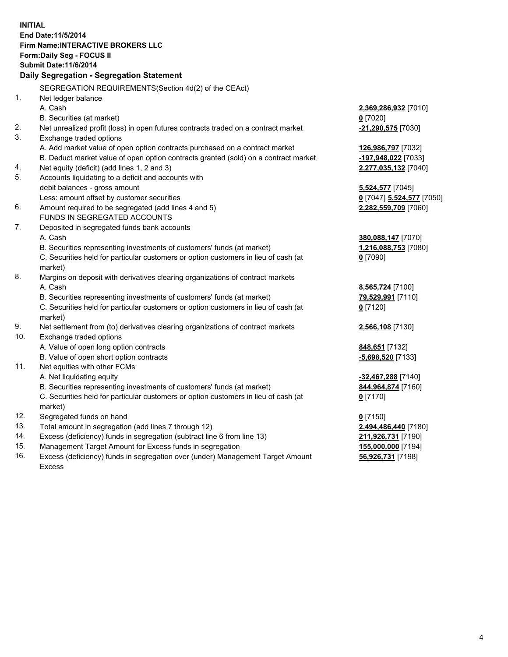**INITIAL End Date:11/5/2014 Firm Name:INTERACTIVE BROKERS LLC Form:Daily Seg - FOCUS II Submit Date:11/6/2014 Daily Segregation - Segregation Statement** SEGREGATION REQUIREMENTS(Section 4d(2) of the CEAct) 1. Net ledger balance A. Cash **2,369,286,932** [7010] B. Securities (at market) **0** [7020] 2. Net unrealized profit (loss) in open futures contracts traded on a contract market **-21,290,575** [7030] 3. Exchange traded options A. Add market value of open option contracts purchased on a contract market **126,986,797** [7032] B. Deduct market value of open option contracts granted (sold) on a contract market **-197,948,022** [7033] 4. Net equity (deficit) (add lines 1, 2 and 3) **2,277,035,132** [7040] 5. Accounts liquidating to a deficit and accounts with debit balances - gross amount **5,524,577** [7045] Less: amount offset by customer securities **0** [7047] **5,524,577** [7050] 6. Amount required to be segregated (add lines 4 and 5) **2,282,559,709** [7060] FUNDS IN SEGREGATED ACCOUNTS 7. Deposited in segregated funds bank accounts A. Cash **380,088,147** [7070] B. Securities representing investments of customers' funds (at market) **1,216,088,753** [7080] C. Securities held for particular customers or option customers in lieu of cash (at market) **0** [7090] 8. Margins on deposit with derivatives clearing organizations of contract markets A. Cash **8,565,724** [7100] B. Securities representing investments of customers' funds (at market) **79,529,991** [7110] C. Securities held for particular customers or option customers in lieu of cash (at market) **0** [7120] 9. Net settlement from (to) derivatives clearing organizations of contract markets **2,566,108** [7130] 10. Exchange traded options A. Value of open long option contracts **848,651** [7132] B. Value of open short option contracts **-5,698,520** [7133] 11. Net equities with other FCMs A. Net liquidating equity **-32,467,288** [7140] B. Securities representing investments of customers' funds (at market) **844,964,874** [7160] C. Securities held for particular customers or option customers in lieu of cash (at market) **0** [7170] 12. Segregated funds on hand **0** [7150] 13. Total amount in segregation (add lines 7 through 12) **2,494,486,440** [7180] 14. Excess (deficiency) funds in segregation (subtract line 6 from line 13) **211,926,731** [7190] 15. Management Target Amount for Excess funds in segregation **155,000,000** [7194]

16. Excess (deficiency) funds in segregation over (under) Management Target Amount Excess

**56,926,731** [7198]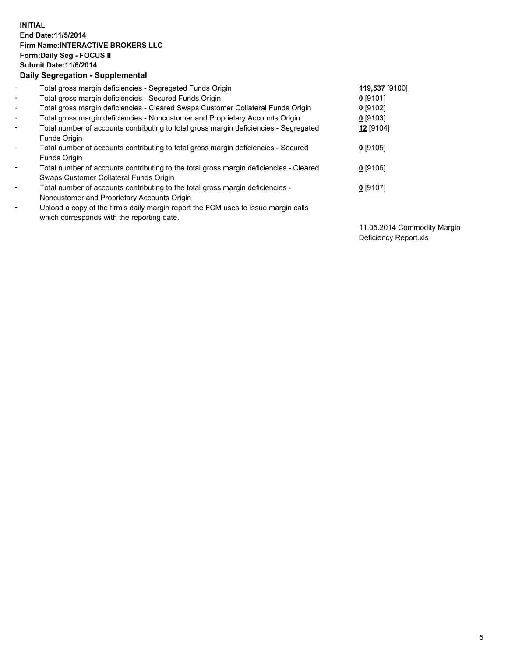## **INITIAL End Date:11/5/2014 Firm Name:INTERACTIVE BROKERS LLC Form:Daily Seg - FOCUS II Submit Date:11/6/2014 Daily Segregation - Supplemental**

| $\blacksquare$ | Total gross margin deficiencies - Segregated Funds Origin                              | 119,537 [9100] |
|----------------|----------------------------------------------------------------------------------------|----------------|
| $\sim$         | Total gross margin deficiencies - Secured Funds Origin                                 | $0$ [9101]     |
| $\blacksquare$ | Total gross margin deficiencies - Cleared Swaps Customer Collateral Funds Origin       | $0$ [9102]     |
| $\blacksquare$ | Total gross margin deficiencies - Noncustomer and Proprietary Accounts Origin          | $0$ [9103]     |
| $\blacksquare$ | Total number of accounts contributing to total gross margin deficiencies - Segregated  | 12 [9104]      |
|                | Funds Origin                                                                           |                |
| $\blacksquare$ | Total number of accounts contributing to total gross margin deficiencies - Secured     | $0$ [9105]     |
|                | Funds Origin                                                                           |                |
| $\blacksquare$ | Total number of accounts contributing to the total gross margin deficiencies - Cleared | $0$ [9106]     |
|                | Swaps Customer Collateral Funds Origin                                                 |                |
| $\blacksquare$ | Total number of accounts contributing to the total gross margin deficiencies -         | $0$ [9107]     |
|                | Noncustomer and Proprietary Accounts Origin                                            |                |
| ۰              | Upload a copy of the firm's daily margin report the FCM uses to issue margin calls     |                |
|                | which corresponds with the reporting date.                                             |                |

11.05.2014 Commodity Margin Deficiency Report.xls